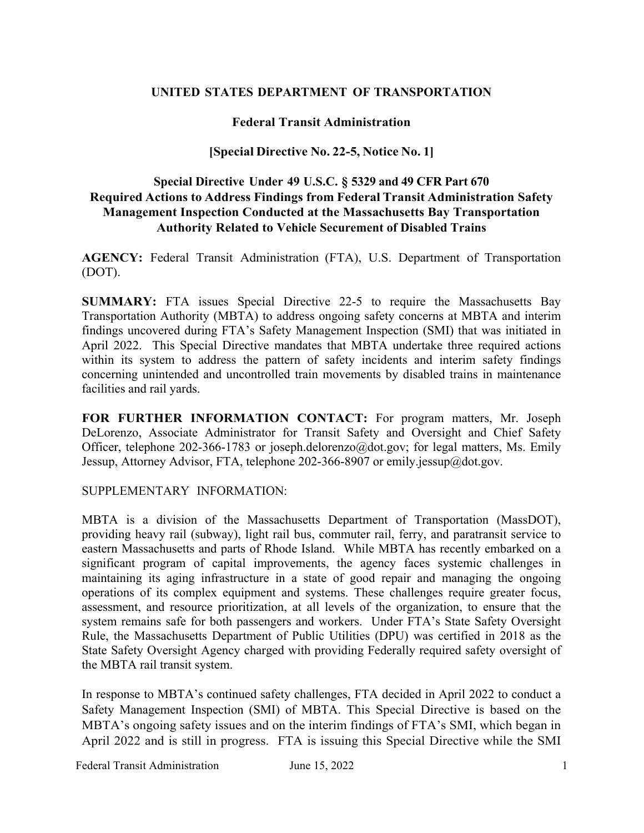## **UNITED STATES DEPARTMENT OF TRANSPORTATION**

## **Federal Transit Administration**

### **[Special Directive No. 22-5, Notice No. 1]**

## **Special Directive Under 49 U.S.C. § 5329 and 49 CFR Part 670 Required Actions to Address Findings from Federal Transit Administration Safety Management Inspection Conducted at the Massachusetts Bay Transportation Authority Related to Vehicle Securement of Disabled Trains**

**AGENCY:** Federal Transit Administration (FTA), U.S. Department of Transportation (DOT).

**SUMMARY:** FTA issues Special Directive 22-5 to require the Massachusetts Bay Transportation Authority (MBTA) to address ongoing safety concerns at MBTA and interim findings uncovered during FTA's Safety Management Inspection (SMI) that was initiated in April 2022. This Special Directive mandates that MBTA undertake three required actions within its system to address the pattern of safety incidents and interim safety findings concerning unintended and uncontrolled train movements by disabled trains in maintenance facilities and rail yards.

**FOR FURTHER INFORMATION CONTACT:** For program matters, Mr. Joseph DeLorenzo, Associate Administrator for Transit Safety and Oversight and Chief Safety Officer, telephone 202-366-1783 or joseph.delorenzo@dot.gov; for legal matters, Ms. Emily Jessup, Attorney Advisor, FTA, telephone 202-366-8907 or emily.jessup@dot.gov.

#### SUPPLEMENTARY INFORMATION:

MBTA is a division of the Massachusetts Department of Transportation (MassDOT), providing heavy rail (subway), light rail bus, commuter rail, ferry, and paratransit service to eastern Massachusetts and parts of Rhode Island. While MBTA has recently embarked on a significant program of capital improvements, the agency faces systemic challenges in maintaining its aging infrastructure in a state of good repair and managing the ongoing operations of its complex equipment and systems. These challenges require greater focus, assessment, and resource prioritization, at all levels of the organization, to ensure that the system remains safe for both passengers and workers. Under FTA's State Safety Oversight Rule, the Massachusetts Department of Public Utilities (DPU) was certified in 2018 as the State Safety Oversight Agency charged with providing Federally required safety oversight of the MBTA rail transit system.

In response to MBTA's continued safety challenges, FTA decided in April 2022 to conduct a Safety Management Inspection (SMI) of MBTA. This Special Directive is based on the MBTA's ongoing safety issues and on the interim findings of FTA's SMI, which began in April 2022 and is still in progress. FTA is issuing this Special Directive while the SMI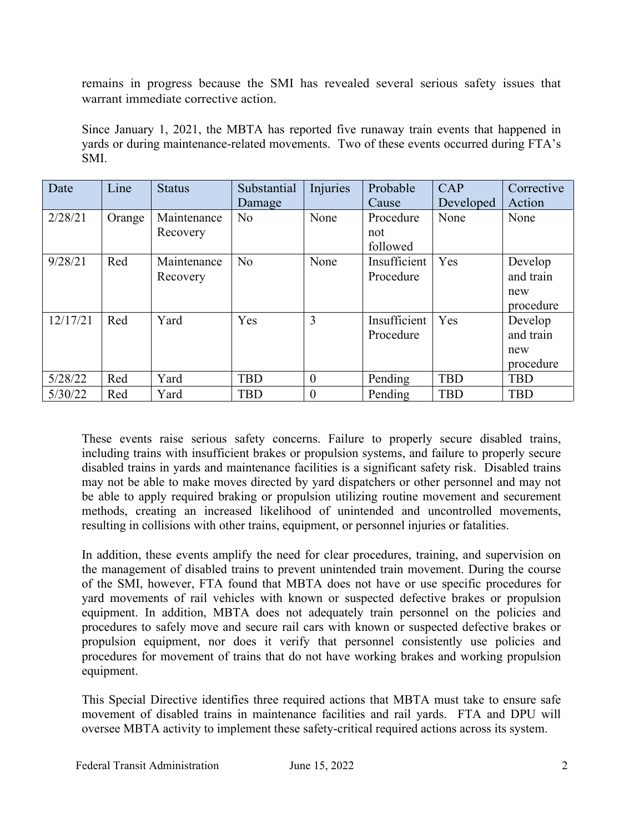remains in progress because the SMI has revealed several serious safety issues that warrant immediate corrective action.

Since January 1, 2021, the MBTA has reported five runaway train events that happened in yards or during maintenance-related movements. Two of these events occurred during FTA's SMI.

| Date     | Line   | <b>Status</b> | Substantial    | Injuries | Probable     | CAP        | Corrective |
|----------|--------|---------------|----------------|----------|--------------|------------|------------|
|          |        |               | Damage         |          | Cause        | Developed  | Action     |
| 2/28/21  | Orange | Maintenance   | No             | None     | Procedure    | None       | None       |
|          |        | Recovery      |                |          | not          |            |            |
|          |        |               |                |          | followed     |            |            |
| 9/28/21  | Red    | Maintenance   | N <sub>o</sub> | None     | Insufficient | Yes        | Develop    |
|          |        | Recovery      |                |          | Procedure    |            | and train  |
|          |        |               |                |          |              |            | new        |
|          |        |               |                |          |              |            | procedure  |
| 12/17/21 | Red    | Yard          | Yes            | 3        | Insufficient | Yes        | Develop    |
|          |        |               |                |          | Procedure    |            | and train  |
|          |        |               |                |          |              |            | new        |
|          |        |               |                |          |              |            | procedure  |
| 5/28/22  | Red    | Yard          | <b>TBD</b>     | $\theta$ | Pending      | <b>TBD</b> | <b>TBD</b> |
| 5/30/22  | Red    | Yard          | <b>TBD</b>     | $\theta$ | Pending      | <b>TBD</b> | <b>TBD</b> |

These events raise serious safety concerns. Failure to properly secure disabled trains, including trains with insufficient brakes or propulsion systems, and failure to properly secure disabled trains in yards and maintenance facilities is a significant safety risk. Disabled trains may not be able to make moves directed by yard dispatchers or other personnel and may not be able to apply required braking or propulsion utilizing routine movement and securement methods, creating an increased likelihood of unintended and uncontrolled movements, resulting in collisions with other trains, equipment, or personnel injuries or fatalities.

In addition, these events amplify the need for clear procedures, training, and supervision on the management of disabled trains to prevent unintended train movement. During the course of the SMI, however, FTA found that MBTA does not have or use specific procedures for yard movements of rail vehicles with known or suspected defective brakes or propulsion equipment. In addition, MBTA does not adequately train personnel on the policies and procedures to safely move and secure rail cars with known or suspected defective brakes or propulsion equipment, nor does it verify that personnel consistently use policies and procedures for movement of trains that do not have working brakes and working propulsion equipment.

This Special Directive identifies three required actions that MBTA must take to ensure safe movement of disabled trains in maintenance facilities and rail yards. FTA and DPU will oversee MBTA activity to implement these safety-critical required actions across its system.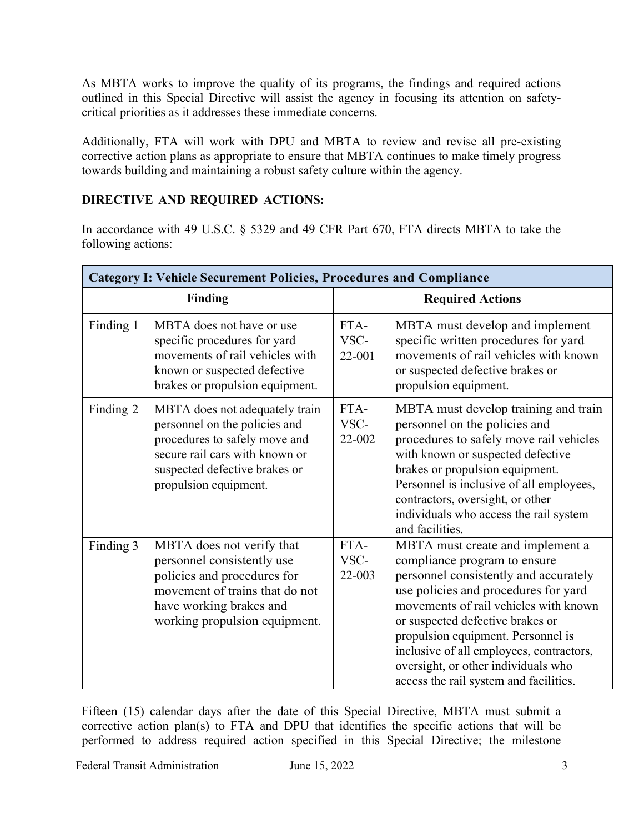As MBTA works to improve the quality of its programs, the findings and required actions outlined in this Special Directive will assist the agency in focusing its attention on safetycritical priorities as it addresses these immediate concerns.

Additionally, FTA will work with DPU and MBTA to review and revise all pre-existing corrective action plans as appropriate to ensure that MBTA continues to make timely progress towards building and maintaining a robust safety culture within the agency.

# **DIRECTIVE AND REQUIRED ACTIONS:**

In accordance with 49 U.S.C. § 5329 and 49 CFR Part 670, FTA directs MBTA to take the following actions:

| <b>Category I: Vehicle Securement Policies, Procedures and Compliance</b> |                                                                                                                                                                                              |                         |                                                                                                                                                                                                                                                                                                                                                                                                   |  |  |  |  |  |
|---------------------------------------------------------------------------|----------------------------------------------------------------------------------------------------------------------------------------------------------------------------------------------|-------------------------|---------------------------------------------------------------------------------------------------------------------------------------------------------------------------------------------------------------------------------------------------------------------------------------------------------------------------------------------------------------------------------------------------|--|--|--|--|--|
|                                                                           | <b>Finding</b>                                                                                                                                                                               | <b>Required Actions</b> |                                                                                                                                                                                                                                                                                                                                                                                                   |  |  |  |  |  |
| Finding 1                                                                 | MBTA does not have or use<br>specific procedures for yard<br>movements of rail vehicles with<br>known or suspected defective<br>brakes or propulsion equipment.                              | FTA-<br>VSC-<br>22-001  | MBTA must develop and implement<br>specific written procedures for yard<br>movements of rail vehicles with known<br>or suspected defective brakes or<br>propulsion equipment.                                                                                                                                                                                                                     |  |  |  |  |  |
| Finding 2                                                                 | MBTA does not adequately train<br>personnel on the policies and<br>procedures to safely move and<br>secure rail cars with known or<br>suspected defective brakes or<br>propulsion equipment. | FTA-<br>VSC-<br>22-002  | MBTA must develop training and train<br>personnel on the policies and<br>procedures to safely move rail vehicles<br>with known or suspected defective<br>brakes or propulsion equipment.<br>Personnel is inclusive of all employees,<br>contractors, oversight, or other<br>individuals who access the rail system<br>and facilities.                                                             |  |  |  |  |  |
| Finding 3                                                                 | MBTA does not verify that<br>personnel consistently use<br>policies and procedures for<br>movement of trains that do not<br>have working brakes and<br>working propulsion equipment.         | FTA-<br>VSC-<br>22-003  | MBTA must create and implement a<br>compliance program to ensure<br>personnel consistently and accurately<br>use policies and procedures for yard<br>movements of rail vehicles with known<br>or suspected defective brakes or<br>propulsion equipment. Personnel is<br>inclusive of all employees, contractors,<br>oversight, or other individuals who<br>access the rail system and facilities. |  |  |  |  |  |

Fifteen (15) calendar days after the date of this Special Directive, MBTA must submit a corrective action plan(s) to FTA and DPU that identifies the specific actions that will be performed to address required action specified in this Special Directive; the milestone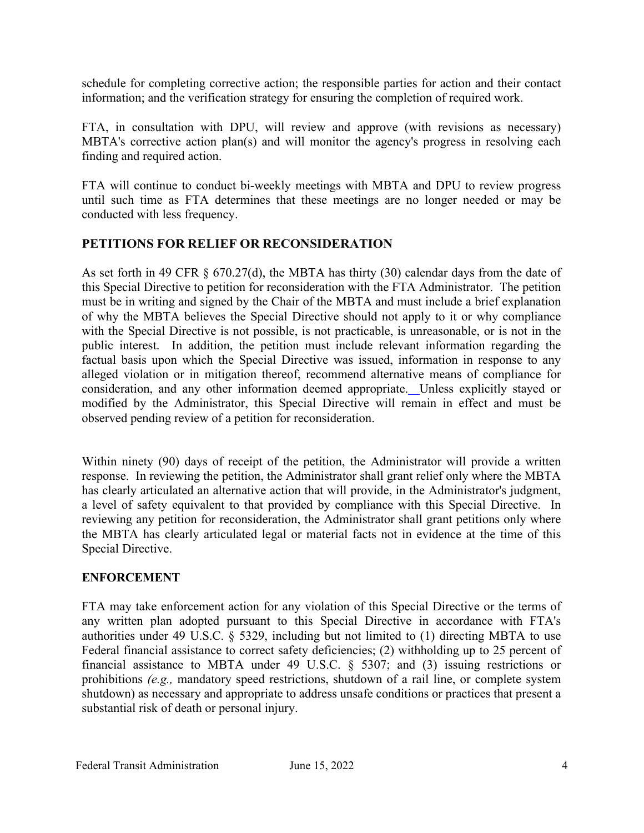schedule for completing corrective action; the responsible parties for action and their contact information; and the verification strategy for ensuring the completion of required work.

FTA, in consultation with DPU, will review and approve (with revisions as necessary) MBTA's corrective action plan(s) and will monitor the agency's progress in resolving each finding and required action.

FTA will continue to conduct bi-weekly meetings with MBTA and DPU to review progress until such time as FTA determines that these meetings are no longer needed or may be conducted with less frequency.

## **PETITIONS FOR RELIEF OR RECONSIDERATION**

As set forth in 49 CFR  $\S$  670.27(d), the MBTA has thirty (30) calendar days from the date of this Special Directive to petition for reconsideration with the FTA Administrator. The petition must be in writing and signed by the Chair of the MBTA and must include a brief explanation of why the MBTA believes the Special Directive should not apply to it or why compliance with the Special Directive is not possible, is not practicable, is unreasonable, or is not in the public interest. In addition, the petition must include relevant information regarding the factual basis upon which the Special Directive was issued, information in response to any alleged violation or in mitigation thereof, recommend alternative means of compliance for consideration, and any other information deemed appropriate. Unless explicitly stayed or modified by the Administrator, this Special Directive will remain in effect and must be observed pending review of a petition for reconsideration.

Within ninety (90) days of receipt of the petition, the Administrator will provide a written response. In reviewing the petition, the Administrator shall grant relief only where the MBTA has clearly articulated an alternative action that will provide, in the Administrator's judgment, a level of safety equivalent to that provided by compliance with this Special Directive. In reviewing any petition for reconsideration, the Administrator shall grant petitions only where the MBTA has clearly articulated legal or material facts not in evidence at the time of this Special Directive.

## **ENFORCEMENT**

FTA may take enforcement action for any violation of this Special Directive or the terms of any written plan adopted pursuant to this Special Directive in accordance with FTA's authorities under 49 U.S.C. § 5329, including but not limited to (1) directing MBTA to use Federal financial assistance to correct safety deficiencies; (2) withholding up to 25 percent of financial assistance to MBTA under 49 U.S.C. § 5307; and (3) issuing restrictions or prohibitions *(e.g.,* mandatory speed restrictions, shutdown of a rail line, or complete system shutdown) as necessary and appropriate to address unsafe conditions or practices that present a substantial risk of death or personal injury.